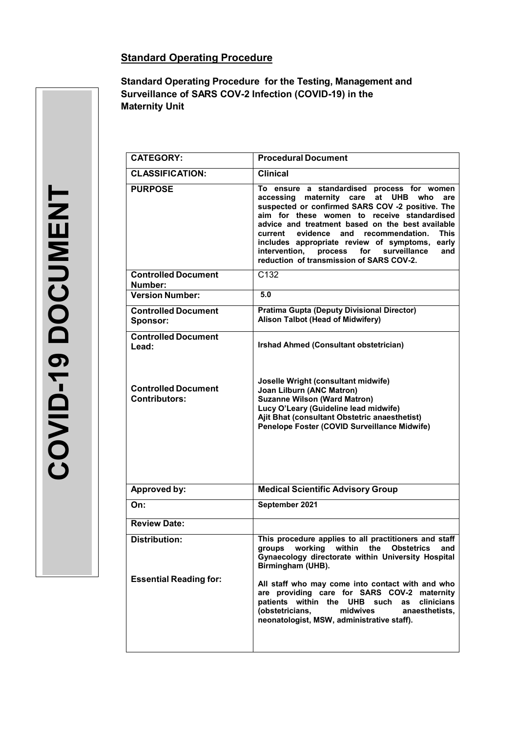# **Standard Operating Procedure**

**Standard Operating Procedure for the Testing, Management and Surveillance of SARS COV-2 Infection (COVID-19) in the Maternity Unit** 

| $\overline{\mathbf{C}}$ |
|-------------------------|
| $\mathbf O$             |
| $\Box$                  |
| 0                       |
|                         |
|                         |
|                         |
|                         |
|                         |
|                         |
|                         |

| <b>CATEGORY:</b>                            | <b>Procedural Document</b>                                                                                                                                                                                                                                                                                                                                                                                                                                                        |  |  |  |
|---------------------------------------------|-----------------------------------------------------------------------------------------------------------------------------------------------------------------------------------------------------------------------------------------------------------------------------------------------------------------------------------------------------------------------------------------------------------------------------------------------------------------------------------|--|--|--|
| <b>CLASSIFICATION:</b>                      | <b>Clinical</b>                                                                                                                                                                                                                                                                                                                                                                                                                                                                   |  |  |  |
| <b>PURPOSE</b>                              | To ensure a standardised process for women<br>accessing maternity care<br><b>UHB</b><br>who<br>at<br>are<br>suspected or confirmed SARS COV -2 positive. The<br>aim for these women to receive standardised<br>advice and treatment based on the best available<br>current<br>evidence and recommendation.<br><b>This</b><br>includes appropriate review of symptoms,<br>early<br>process<br>for surveillance<br>intervention,<br>and<br>reduction of transmission of SARS COV-2. |  |  |  |
| <b>Controlled Document</b><br>Number:       | C132                                                                                                                                                                                                                                                                                                                                                                                                                                                                              |  |  |  |
| <b>Version Number:</b>                      | 5.0                                                                                                                                                                                                                                                                                                                                                                                                                                                                               |  |  |  |
| <b>Controlled Document</b><br>Sponsor:      | <b>Pratima Gupta (Deputy Divisional Director)</b><br>Alison Talbot (Head of Midwifery)                                                                                                                                                                                                                                                                                                                                                                                            |  |  |  |
| <b>Controlled Document</b><br>Lead:         | Irshad Ahmed (Consultant obstetrician)                                                                                                                                                                                                                                                                                                                                                                                                                                            |  |  |  |
| <b>Controlled Document</b><br>Contributors: | Joselle Wright (consultant midwife)<br><b>Joan Lilburn (ANC Matron)</b><br><b>Suzanne Wilson (Ward Matron)</b><br>Lucy O'Leary (Guideline lead midwife)<br>Ajit Bhat (consultant Obstetric anaesthetist)<br>Penelope Foster (COVID Surveillance Midwife)                                                                                                                                                                                                                          |  |  |  |
| Approved by:                                | <b>Medical Scientific Advisory Group</b>                                                                                                                                                                                                                                                                                                                                                                                                                                          |  |  |  |
| On:                                         | September 2021                                                                                                                                                                                                                                                                                                                                                                                                                                                                    |  |  |  |
| <b>Review Date:</b>                         |                                                                                                                                                                                                                                                                                                                                                                                                                                                                                   |  |  |  |
| Distribution:                               | This procedure applies to all practitioners and staff<br>groups working within the<br><b>Obstetrics</b><br>and<br>Gynaecology directorate within University Hospital<br>Birmingham (UHB).                                                                                                                                                                                                                                                                                         |  |  |  |
| <b>Essential Reading for:</b>               | All staff who may come into contact with and who<br>are providing care for SARS COV-2 maternity<br>patients within the UHB such<br>clinicians<br>as<br>(obstetricians,<br>midwives<br>anaesthetists.<br>neonatologist, MSW, administrative staff).                                                                                                                                                                                                                                |  |  |  |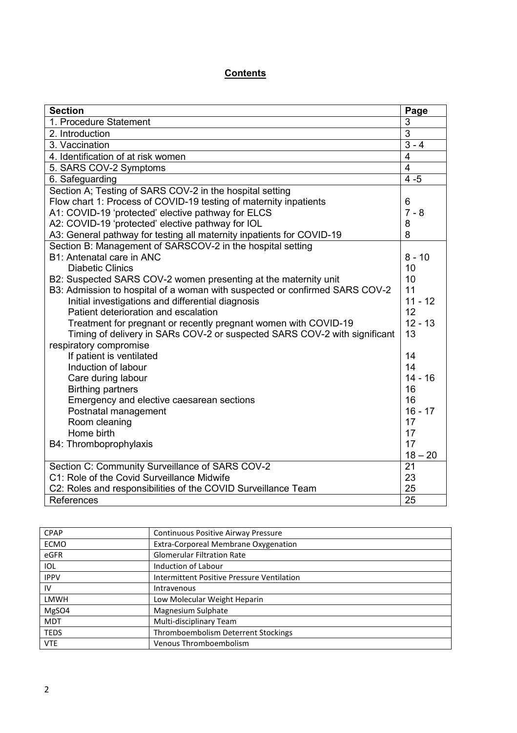# **Contents**

| <b>Section</b>                                                              | Page           |
|-----------------------------------------------------------------------------|----------------|
| 1. Procedure Statement                                                      | 3              |
| 2. Introduction                                                             | $\overline{3}$ |
| 3. Vaccination                                                              | $3 - 4$        |
| 4. Identification of at risk women                                          | $\overline{4}$ |
| 5. SARS COV-2 Symptoms                                                      | $\overline{4}$ |
| 6. Safeguarding                                                             | $4 - 5$        |
| Section A; Testing of SARS COV-2 in the hospital setting                    |                |
| Flow chart 1: Process of COVID-19 testing of maternity inpatients           | 6              |
| A1: COVID-19 'protected' elective pathway for ELCS                          | $7 - 8$        |
| A2: COVID-19 'protected' elective pathway for IOL                           | 8              |
| A3: General pathway for testing all maternity inpatients for COVID-19       | 8              |
| Section B: Management of SARSCOV-2 in the hospital setting                  |                |
| B1: Antenatal care in ANC                                                   | $8 - 10$       |
| <b>Diabetic Clinics</b>                                                     | 10             |
| B2: Suspected SARS COV-2 women presenting at the maternity unit             | 10             |
| B3: Admission to hospital of a woman with suspected or confirmed SARS COV-2 | 11             |
| Initial investigations and differential diagnosis                           | $11 - 12$      |
| Patient deterioration and escalation                                        | 12             |
| Treatment for pregnant or recently pregnant women with COVID-19             | $12 - 13$      |
| Timing of delivery in SARs COV-2 or suspected SARS COV-2 with significant   | 13             |
| respiratory compromise                                                      |                |
| If patient is ventilated                                                    | 14             |
| Induction of labour                                                         | 14             |
| Care during labour                                                          | $14 - 16$      |
| <b>Birthing partners</b>                                                    | 16             |
| Emergency and elective caesarean sections                                   | 16             |
| Postnatal management                                                        | $16 - 17$      |
| Room cleaning                                                               | 17             |
| Home birth                                                                  | 17             |
| B4: Thromboprophylaxis                                                      | 17             |
|                                                                             | $18 - 20$      |
| Section C: Community Surveillance of SARS COV-2                             | 21             |
| C1: Role of the Covid Surveillance Midwife                                  | 23             |
| C2: Roles and responsibilities of the COVID Surveillance Team               | 25             |
| References                                                                  | 25             |

| <b>CPAP</b> | Continuous Positive Airway Pressure        |
|-------------|--------------------------------------------|
| <b>ECMO</b> | Extra-Corporeal Membrane Oxygenation       |
| eGFR        | <b>Glomerular Filtration Rate</b>          |
| IOL         | Induction of Labour                        |
| <b>IPPV</b> | Intermittent Positive Pressure Ventilation |
| IV          | Intravenous                                |
| LMWH        | Low Molecular Weight Heparin               |
| MgSO4       | Magnesium Sulphate                         |
| <b>MDT</b>  | Multi-disciplinary Team                    |
| <b>TEDS</b> | Thromboembolism Deterrent Stockings        |
| <b>VTE</b>  | <b>Venous Thromboembolism</b>              |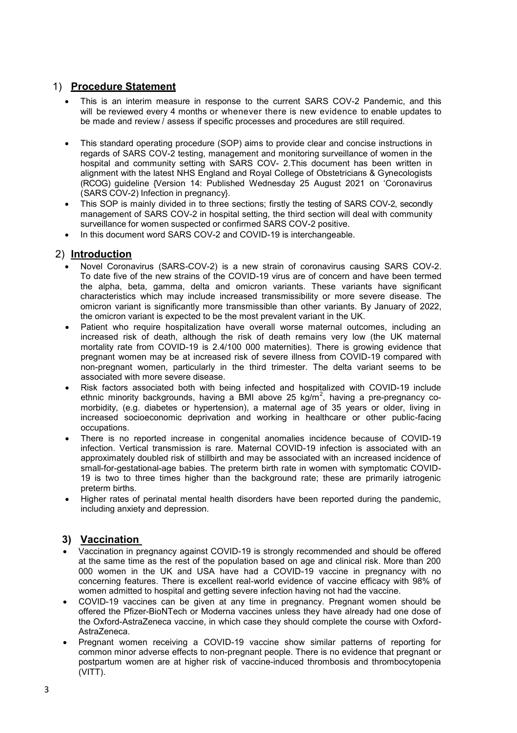# 1) **Procedure Statement**

- This is an interim measure in response to the current SARS COV-2 Pandemic, and this will be reviewed every 4 months or whenever there is new evidence to enable updates to be made and review / assess if specific processes and procedures are still required.
- This standard operating procedure (SOP) aims to provide clear and concise instructions in regards of SARS COV-2 testing, management and monitoring surveillance of women in the hospital and community setting with SARS COV- 2.This document has been written in alignment with the latest NHS England and Royal College of Obstetricians & Gynecologists (RCOG) guideline {Version 14: Published Wednesday 25 August 2021 on 'Coronavirus (SARS COV-2) Infection in pregnancy}.
- This SOP is mainly divided in to three sections; firstly the testing of SARS COV-2, secondly management of SARS COV-2 in hospital setting, the third section will deal with community surveillance for women suspected or confirmed SARS COV-2 positive.
- In this document word SARS COV-2 and COVID-19 is interchangeable.

## 2) **Introduction**

- Novel Coronavirus (SARS-COV-2) is a new strain of coronavirus causing SARS COV-2. To date five of the new strains of the COVID-19 virus are of concern and have been termed the alpha, beta, gamma, delta and omicron variants. These variants have significant characteristics which may include increased transmissibility or more severe disease. The omicron variant is significantly more transmissible than other variants. By January of 2022, the omicron variant is expected to be the most prevalent variant in the UK.
- Patient who require hospitalization have overall worse maternal outcomes, including an increased risk of death, although the risk of death remains very low (the UK maternal mortality rate from COVID-19 is 2.4/100 000 maternities). There is growing evidence that pregnant women may be at increased risk of severe illness from COVID-19 compared with non-pregnant women, particularly in the third trimester. The delta variant seems to be associated with more severe disease.
- Risk factors associated both with being infected and hospitalized with COVID-19 include ethnic minority backgrounds, having a BMI above 25 kg/m<sup>2</sup>, having a pre-pregnancy comorbidity, (e.g. diabetes or hypertension), a maternal age of 35 years or older, living in increased socioeconomic deprivation and working in healthcare or other public-facing occupations.
- There is no reported increase in congenital anomalies incidence because of COVID-19 infection. Vertical transmission is rare. Maternal COVID-19 infection is associated with an approximately doubled risk of stillbirth and may be associated with an increased incidence of small-for-gestational-age babies. The preterm birth rate in women with symptomatic COVID-19 is two to three times higher than the background rate; these are primarily iatrogenic preterm births.
- Higher rates of perinatal mental health disorders have been reported during the pandemic, including anxiety and depression.

# **3) Vaccination**

- Vaccination in pregnancy against COVID-19 is strongly recommended and should be offered at the same time as the rest of the population based on age and clinical risk. More than 200 000 women in the UK and USA have had a COVID-19 vaccine in pregnancy with no concerning features. There is excellent real-world evidence of vaccine efficacy with 98% of women admitted to hospital and getting severe infection having not had the vaccine.
- COVID-19 vaccines can be given at any time in pregnancy. Pregnant women should be offered the Pfizer-BioNTech or Moderna vaccines unless they have already had one dose of the Oxford-AstraZeneca vaccine, in which case they should complete the course with Oxford-AstraZeneca.
- Pregnant women receiving a COVID-19 vaccine show similar patterns of reporting for common minor adverse effects to non-pregnant people. There is no evidence that pregnant or postpartum women are at higher risk of vaccine-induced thrombosis and thrombocytopenia (VITT).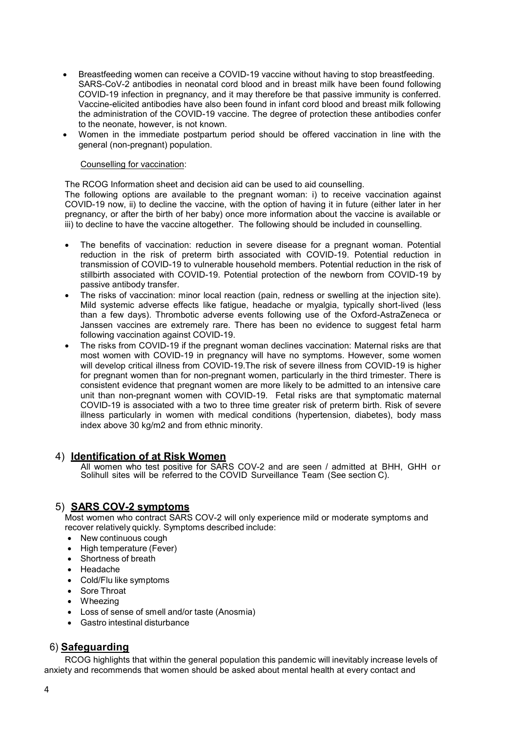- Breastfeeding women can receive a COVID-19 vaccine without having to stop breastfeeding. SARS-CoV-2 antibodies in neonatal cord blood and in breast milk have been found following COVID-19 infection in pregnancy, and it may therefore be that passive immunity is conferred. Vaccine-elicited antibodies have also been found in infant cord blood and breast milk following the administration of the COVID-19 vaccine. The degree of protection these antibodies confer to the neonate, however, is not known.
- Women in the immediate postpartum period should be offered vaccination in line with the general (non-pregnant) population.

#### Counselling for vaccination:

The RCOG Information sheet and decision aid can be used to aid counselling.

The following options are available to the pregnant woman: i) to receive vaccination against COVID-19 now, ii) to decline the vaccine, with the option of having it in future (either later in her pregnancy, or after the birth of her baby) once more information about the vaccine is available or iii) to decline to have the vaccine altogether. The following should be included in counselling.

- The benefits of vaccination: reduction in severe disease for a pregnant woman. Potential reduction in the risk of preterm birth associated with COVID-19. Potential reduction in transmission of COVID-19 to vulnerable household members. Potential reduction in the risk of stillbirth associated with COVID-19. Potential protection of the newborn from COVID-19 by passive antibody transfer.
- The risks of vaccination: minor local reaction (pain, redness or swelling at the injection site). Mild systemic adverse effects like fatigue, headache or myalgia, typically short-lived (less than a few days). Thrombotic adverse events following use of the Oxford-AstraZeneca or Janssen vaccines are extremely rare. There has been no evidence to suggest fetal harm following vaccination against COVID-19.
- The risks from COVID-19 if the pregnant woman declines vaccination: Maternal risks are that most women with COVID-19 in pregnancy will have no symptoms. However, some women will develop critical illness from COVID-19.The risk of severe illness from COVID-19 is higher for pregnant women than for non-pregnant women, particularly in the third trimester. There is consistent evidence that pregnant women are more likely to be admitted to an intensive care unit than non-pregnant women with COVID-19. Fetal risks are that symptomatic maternal COVID-19 is associated with a two to three time greater risk of preterm birth. Risk of severe illness particularly in women with medical conditions (hypertension, diabetes), body mass index above 30 kg/m2 and from ethnic minority.

#### 4) **Identification of at Risk Women**

All women who test positive for SARS COV-2 and are seen / admitted at BHH, GHH or Solihull sites will be referred to the COVID Surveillance Team (See section C).

## 5) **SARS COV-2 symptoms**

Most women who contract SARS COV-2 will only experience mild or moderate symptoms and recover relatively quickly. Symptoms described include:

- New continuous cough
- High temperature (Fever)
- Shortness of breath
- Headache
- Cold/Flu like symptoms
- Sore Throat
- Wheezing
- Loss of sense of smell and/or taste (Anosmia)
- Gastro intestinal disturbance

# 6) **Safeguarding**

RCOG highlights that within the general population this pandemic will inevitably increase levels of anxiety and recommends that women should be asked about mental health at every contact and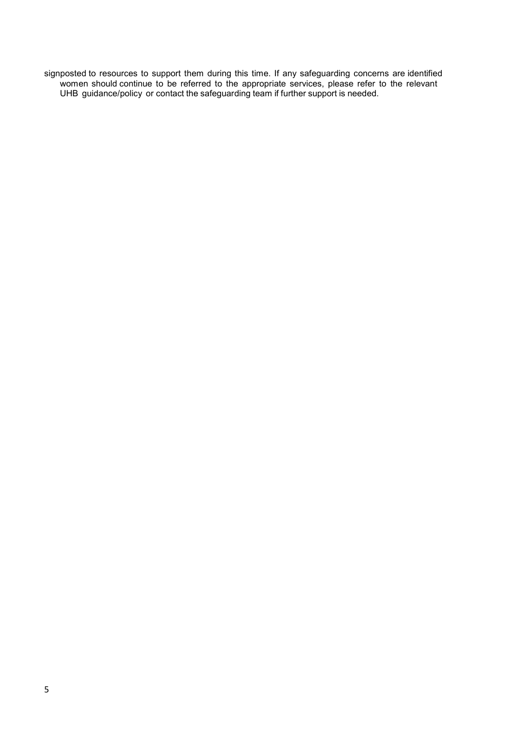signposted to resources to support them during this time. If any safeguarding concerns are identified women should continue to be referred to the appropriate services, please refer to the relevant UHB guidance/policy or contact the safeguarding team if further support is needed.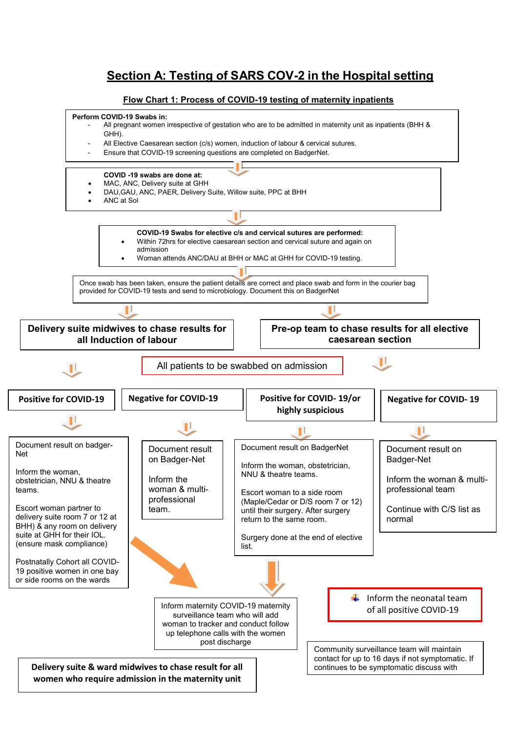# **Section A: Testing of SARS COV-2 in the Hospital setting**

### **Flow Chart 1: Process of COVID-19 testing of maternity inpatients**



6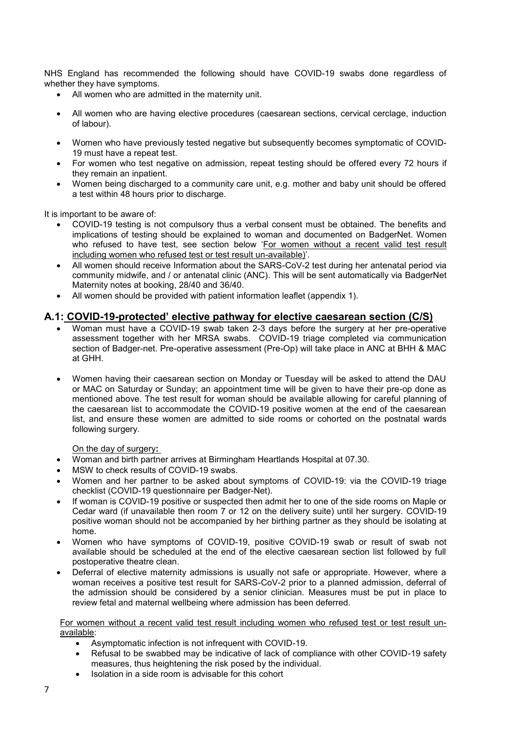NHS England has recommended the following should have COVID-19 swabs done regardless of whether they have symptoms.

- All women who are admitted in the maternity unit.
- All women who are having elective procedures (caesarean sections, cervical cerclage, induction of labour).
- Women who have previously tested negative but subsequently becomes symptomatic of COVID-19 must have a repeat test.
- For women who test negative on admission, repeat testing should be offered every 72 hours if they remain an inpatient.
- Women being discharged to a community care unit, e.g. mother and baby unit should be offered a test within 48 hours prior to discharge.

It is important to be aware of:

- COVID-19 testing is not compulsory thus a verbal consent must be obtained. The benefits and implications of testing should be explained to woman and documented on BadgerNet. Women who refused to have test, see section below 'For women without a recent valid test result including women who refused test or test result un-available)'.
- All women should receive Information about the SARS-CoV-2 test during her antenatal period via community midwife, and / or antenatal clinic (ANC). This will be sent automatically via BadgerNet Maternity notes at booking, 28/40 and 36/40.
- All women should be provided with patient information leaflet (appendix 1).

## **A.1: COVID-19-protected' elective pathway for elective caesarean section (C/S)**

- Woman must have a COVID-19 swab taken 2-3 days before the surgery at her pre-operative assessment together with her MRSA swabs. COVID-19 triage completed via communication section of Badger-net. Pre-operative assessment (Pre-Op) will take place in ANC at BHH & MAC at GHH.
- Women having their caesarean section on Monday or Tuesday will be asked to attend the DAU or MAC on Saturday or Sunday; an appointment time will be given to have their pre-op done as mentioned above. The test result for woman should be available allowing for careful planning of the caesarean list to accommodate the COVID-19 positive women at the end of the caesarean list, and ensure these women are admitted to side rooms or cohorted on the postnatal wards following surgery.

On the day of surgery**:** 

- Woman and birth partner arrives at Birmingham Heartlands Hospital at 07.30.
- MSW to check results of COVID-19 swabs.
- Women and her partner to be asked about symptoms of COVID-19: via the COVID-19 triage checklist (COVID-19 questionnaire per Badger-Net).
- If woman is COVID-19 positive or suspected then admit her to one of the side rooms on Maple or Cedar ward (if unavailable then room 7 or 12 on the delivery suite) until her surgery. COVID-19 positive woman should not be accompanied by her birthing partner as they should be isolating at home.
- Women who have symptoms of COVID-19, positive COVID-19 swab or result of swab not available should be scheduled at the end of the elective caesarean section list followed by full postoperative theatre clean.
- Deferral of elective maternity admissions is usually not safe or appropriate. However, where a woman receives a positive test result for SARS-CoV-2 prior to a planned admission, deferral of the admission should be considered by a senior clinician. Measures must be put in place to review fetal and maternal wellbeing where admission has been deferred.

For women without a recent valid test result including women who refused test or test result unavailable:

- Asymptomatic infection is not infrequent with COVID-19.
- Refusal to be swabbed may be indicative of lack of compliance with other COVID-19 safety measures, thus heightening the risk posed by the individual.
- Isolation in a side room is advisable for this cohort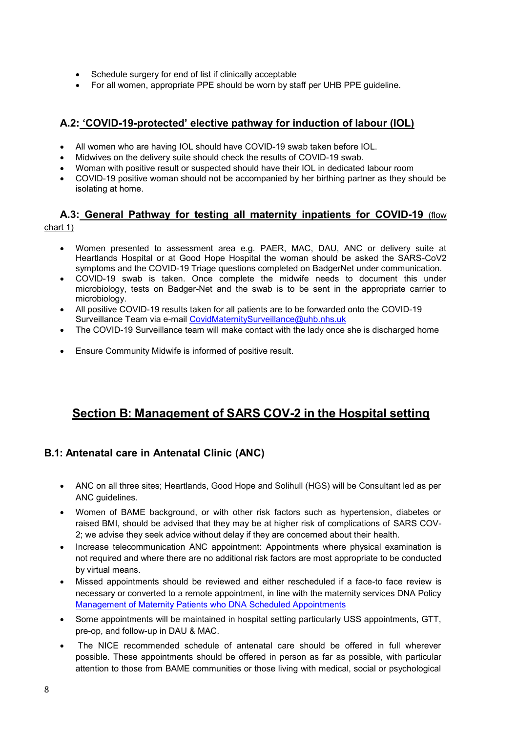- Schedule surgery for end of list if clinically acceptable
- For all women, appropriate PPE should be worn by staff per UHB PPE guideline.

## **A.2: 'COVID-19-protected' elective pathway for induction of labour (IOL)**

- All women who are having IOL should have COVID-19 swab taken before IOL.
- Midwives on the delivery suite should check the results of COVID-19 swab.
- Woman with positive result or suspected should have their IOL in dedicated labour room
- COVID-19 positive woman should not be accompanied by her birthing partner as they should be isolating at home.

# **A.3: General Pathway for testing all maternity inpatients for COVID-19** (flow chart 1)

- Women presented to assessment area e.g. PAER, MAC, DAU, ANC or delivery suite at Heartlands Hospital or at Good Hope Hospital the woman should be asked the SARS-CoV2 symptoms and the COVID-19 Triage questions completed on BadgerNet under communication.
- COVID-19 swab is taken. Once complete the midwife needs to document this under microbiology, tests on Badger-Net and the swab is to be sent in the appropriate carrier to microbiology.
- All positive COVID-19 results taken for all patients are to be forwarded onto the COVID-19 Surveillance Team via e-mail [CovidMaternitySurveillance@uhb.nhs.uk](mailto:CovidMaternitySurveillance@uhb.nhs.uk)
- The COVID-19 Surveillance team will make contact with the lady once she is discharged home
- Ensure Community Midwife is informed of positive result.

# **Section B: Management of SARS COV-2 in the Hospital setting**

# **B.1: Antenatal care in Antenatal Clinic (ANC)**

- ANC on all three sites; Heartlands, Good Hope and Solihull (HGS) will be Consultant led as per ANC guidelines.
- Women of BAME background, or with other risk factors such as hypertension, diabetes or raised BMI, should be advised that they may be at higher risk of complications of SARS COV-2; we advise they seek advice without delay if they are concerned about their health.
- Increase telecommunication ANC appointment: Appointments where physical examination is not required and where there are no additional risk factors are most appropriate to be conducted by virtual means.
- Missed appointments should be reviewed and either rescheduled if a face-to face review is necessary or converted to a remote appointment, in line with the maternity services DNA Policy [Management of Maternity Patients who DNA Scheduled Appointments](http://sharepoint/policies/Procedures/Management%20of%20Maternity%20Patients%20Who%20DNA%20Scheduled%20Appointments%20(HGS%20Only)%20UHB.pdf)
- Some appointments will be maintained in hospital setting particularly USS appointments, GTT, pre-op, and follow-up in DAU & MAC.
- The NICE recommended schedule of antenatal care should be offered in full wherever possible. These appointments should be offered in person as far as possible, with particular attention to those from BAME communities or those living with medical, social or psychological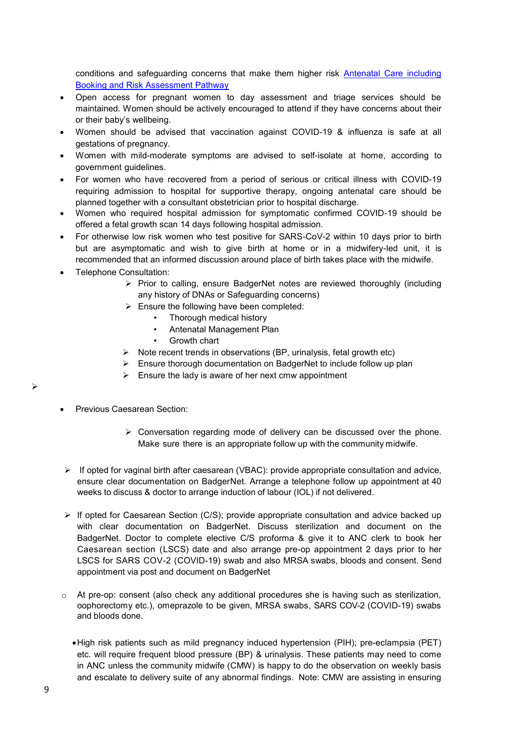conditions and safeguarding concerns that make them higher risk [Antenatal Care including](http://sharepoint/policies/Guidelines/Antenatal%20care%20including%20booking%20and%20risk%20assessment%20pathway%20-%20v5.1.pdf)  [Booking and Risk Assessment Pathway](http://sharepoint/policies/Guidelines/Antenatal%20care%20including%20booking%20and%20risk%20assessment%20pathway%20-%20v5.1.pdf)

- Open access for pregnant women to day assessment and triage services should be maintained. Women should be actively encouraged to attend if they have concerns about their or their baby's wellbeing.
- Women should be advised that vaccination against COVID-19 & influenza is safe at all gestations of pregnancy.
- Women with mild-moderate symptoms are advised to self-isolate at home, according to government guidelines.
- For women who have recovered from a period of serious or critical illness with COVID-19 requiring admission to hospital for supportive therapy, ongoing antenatal care should be planned together with a consultant obstetrician prior to hospital discharge.
- Women who required hospital admission for symptomatic confirmed COVID-19 should be offered a fetal growth scan 14 days following hospital admission.
- For otherwise low risk women who test positive for SARS-CoV-2 within 10 days prior to birth but are asymptomatic and wish to give birth at home or in a midwifery-led unit, it is recommended that an informed discussion around place of birth takes place with the midwife.
- Telephone Consultation:
	- $\triangleright$  Prior to calling, ensure BadgerNet notes are reviewed thoroughly (including any history of DNAs or Safeguarding concerns)
	- $\triangleright$  Ensure the following have been completed:
		- Thorough medical history
		- Antenatal Management Plan
		- Growth chart
	- $\triangleright$  Note recent trends in observations (BP, urinalysis, fetal growth etc)
	- $\triangleright$  Ensure thorough documentation on BadgerNet to include follow up plan
	- $\triangleright$  Ensure the lady is aware of her next cmw appointment
- Previous Caesarean Section:
	- $\triangleright$  Conversation regarding mode of delivery can be discussed over the phone. Make sure there is an appropriate follow up with the community midwife.
- $\triangleright$  If opted for vaginal birth after caesarean (VBAC): provide appropriate consultation and advice, ensure clear documentation on BadgerNet. Arrange a telephone follow up appointment at 40 weeks to discuss & doctor to arrange induction of labour (IOL) if not delivered.
- $\triangleright$  If opted for Caesarean Section (C/S); provide appropriate consultation and advice backed up with clear documentation on BadgerNet. Discuss sterilization and document on the BadgerNet. Doctor to complete elective C/S proforma & give it to ANC clerk to book her Caesarean section (LSCS) date and also arrange pre-op appointment 2 days prior to her LSCS for SARS COV-2 (COVID-19) swab and also MRSA swabs, bloods and consent. Send appointment via post and document on BadgerNet
- o At pre-op: consent (also check any additional procedures she is having such as sterilization, oophorectomy etc.), omeprazole to be given, MRSA swabs, SARS COV-2 (COVID-19) swabs and bloods done.
	- High risk patients such as mild pregnancy induced hypertension (PIH); pre-eclampsia (PET) etc. will require frequent blood pressure (BP) & urinalysis. These patients may need to come in ANC unless the community midwife (CMW) is happy to do the observation on weekly basis and escalate to delivery suite of any abnormal findings. Note: CMW are assisting in ensuring

 $\triangleright$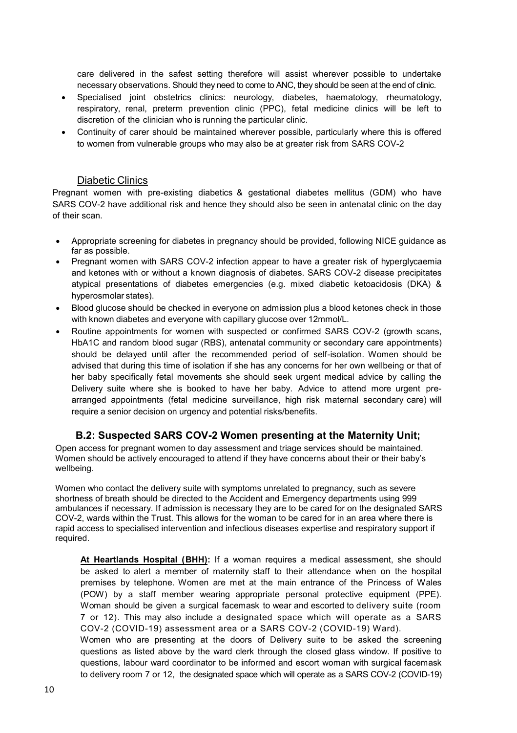care delivered in the safest setting therefore will assist wherever possible to undertake necessary observations. Should they need to come to ANC, they should be seen at the end of clinic.

- Specialised joint obstetrics clinics: neurology, diabetes, haematology, rheumatology, respiratory, renal, preterm prevention clinic (PPC), fetal medicine clinics will be left to discretion of the clinician who is running the particular clinic.
- Continuity of carer should be maintained wherever possible, particularly where this is offered to women from vulnerable groups who may also be at greater risk from SARS COV-2

#### Diabetic Clinics

Pregnant women with pre-existing diabetics & gestational diabetes mellitus (GDM) who have SARS COV-2 have additional risk and hence they should also be seen in antenatal clinic on the day of their scan.

- Appropriate screening for diabetes in pregnancy should be provided, following NICE guidance as far as possible.
- Pregnant women with SARS COV-2 infection appear to have a greater risk of hyperglycaemia and ketones with or without a known diagnosis of diabetes. SARS COV-2 disease precipitates atypical presentations of diabetes emergencies (e.g. mixed diabetic ketoacidosis (DKA) & hyperosmolar states).
- Blood glucose should be checked in everyone on admission plus a blood ketones check in those with known diabetes and everyone with capillary glucose over 12mmol/L.
- Routine appointments for women with suspected or confirmed SARS COV-2 (growth scans, HbA1C and random blood sugar (RBS), antenatal community or secondary care appointments) should be delayed until after the recommended period of self-isolation. Women should be advised that during this time of isolation if she has any concerns for her own wellbeing or that of her baby specifically fetal movements she should seek urgent medical advice by calling the Delivery suite where she is booked to have her baby. Advice to attend more urgent prearranged appointments (fetal medicine surveillance, high risk maternal secondary care) will require a senior decision on urgency and potential risks/benefits.

#### **B.2: Suspected SARS COV-2 Women presenting at the Maternity Unit;**

Open access for pregnant women to day assessment and triage services should be maintained. Women should be actively encouraged to attend if they have concerns about their or their baby's wellbeing.

Women who contact the delivery suite with symptoms unrelated to pregnancy, such as severe shortness of breath should be directed to the Accident and Emergency departments using 999 ambulances if necessary. If admission is necessary they are to be cared for on the designated SARS COV-2, wards within the Trust. This allows for the woman to be cared for in an area where there is rapid access to specialised intervention and infectious diseases expertise and respiratory support if required.

**At Heartlands Hospital (BHH):** If a woman requires a medical assessment, she should be asked to alert a member of maternity staff to their attendance when on the hospital premises by telephone. Women are met at the main entrance of the Princess of Wales (POW) by a staff member wearing appropriate personal protective equipment (PPE). Woman should be given a surgical facemask to wear and escorted to delivery suite (room 7 or 12). This may also include a designated space which will operate as a SARS COV-2 (COVID-19) assessment area or a SARS COV-2 (COVID-19) Ward).

Women who are presenting at the doors of Delivery suite to be asked the screening questions as listed above by the ward clerk through the closed glass window. If positive to questions, labour ward coordinator to be informed and escort woman with surgical facemask to delivery room 7 or 12, the designated space which will operate as a SARS COV-2 (COVID-19)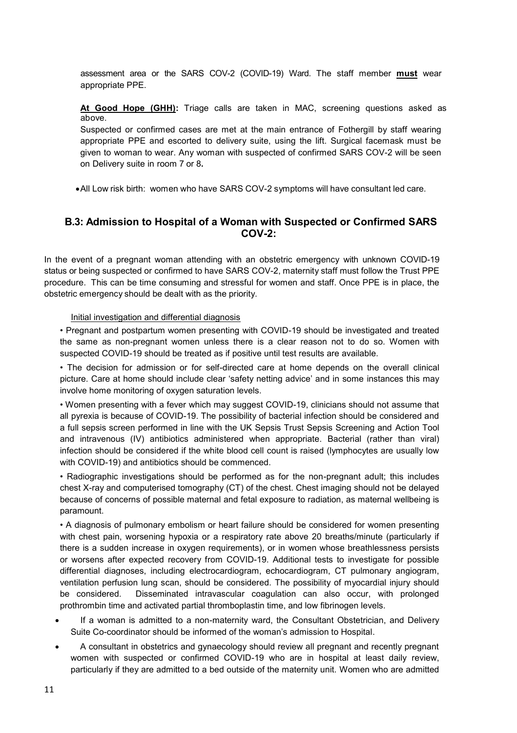assessment area or the SARS COV-2 (COVID-19) Ward. The staff member **must** wear appropriate PPE.

**At Good Hope (GHH):** Triage calls are taken in MAC, screening questions asked as above.

Suspected or confirmed cases are met at the main entrance of Fothergill by staff wearing appropriate PPE and escorted to delivery suite, using the lift. Surgical facemask must be given to woman to wear. Any woman with suspected of confirmed SARS COV-2 will be seen on Delivery suite in room 7 or 8**.** 

All Low risk birth: women who have SARS COV-2 symptoms will have consultant led care.

# **B.3: Admission to Hospital of a Woman with Suspected or Confirmed SARS COV-2:**

In the event of a pregnant woman attending with an obstetric emergency with unknown COVID-19 status or being suspected or confirmed to have SARS COV-2, maternity staff must follow the Trust PPE procedure. This can be time consuming and stressful for women and staff. Once PPE is in place, the obstetric emergency should be dealt with as the priority.

Initial investigation and differential diagnosis

• Pregnant and postpartum women presenting with COVID-19 should be investigated and treated the same as non-pregnant women unless there is a clear reason not to do so. Women with suspected COVID-19 should be treated as if positive until test results are available.

• The decision for admission or for self-directed care at home depends on the overall clinical picture. Care at home should include clear 'safety netting advice' and in some instances this may involve home monitoring of oxygen saturation levels.

• Women presenting with a fever which may suggest COVID-19, clinicians should not assume that all pyrexia is because of COVID-19. The possibility of bacterial infection should be considered and a full sepsis screen performed in line with the UK Sepsis Trust Sepsis Screening and Action Tool and intravenous (IV) antibiotics administered when appropriate. Bacterial (rather than viral) infection should be considered if the white blood cell count is raised (lymphocytes are usually low with COVID-19) and antibiotics should be commenced.

• Radiographic investigations should be performed as for the non-pregnant adult; this includes chest X-ray and computerised tomography (CT) of the chest. Chest imaging should not be delayed because of concerns of possible maternal and fetal exposure to radiation, as maternal wellbeing is paramount.

• A diagnosis of pulmonary embolism or heart failure should be considered for women presenting with chest pain, worsening hypoxia or a respiratory rate above 20 breaths/minute (particularly if there is a sudden increase in oxygen requirements), or in women whose breathlessness persists or worsens after expected recovery from COVID-19. Additional tests to investigate for possible differential diagnoses, including electrocardiogram, echocardiogram, CT pulmonary angiogram, ventilation perfusion lung scan, should be considered. The possibility of myocardial injury should be considered. Disseminated intravascular coagulation can also occur, with prolonged prothrombin time and activated partial thromboplastin time, and low fibrinogen levels.

- If a woman is admitted to a non-maternity ward, the Consultant Obstetrician, and Delivery Suite Co-coordinator should be informed of the woman's admission to Hospital.
- A consultant in obstetrics and gynaecology should review all pregnant and recently pregnant women with suspected or confirmed COVID-19 who are in hospital at least daily review, particularly if they are admitted to a bed outside of the maternity unit. Women who are admitted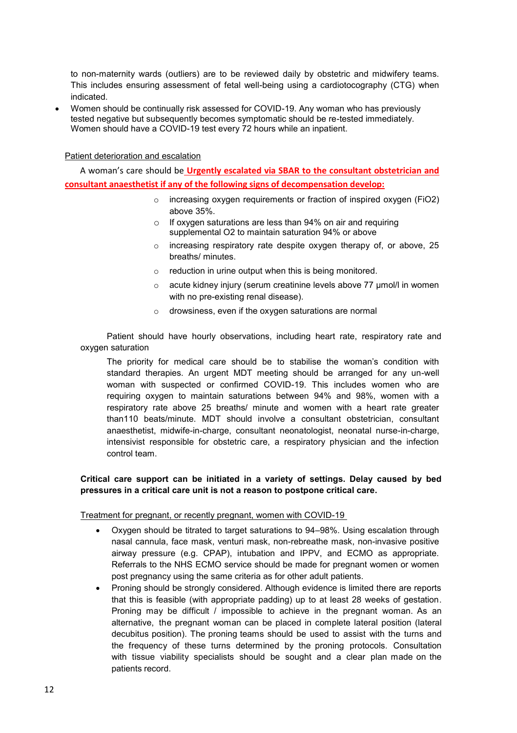to non-maternity wards (outliers) are to be reviewed daily by obstetric and midwifery teams. This includes ensuring assessment of fetal well-being using a cardiotocography (CTG) when indicated.

 Women should be continually risk assessed for COVID-19. Any woman who has previously tested negative but subsequently becomes symptomatic should be re-tested immediately. Women should have a COVID-19 test every 72 hours while an inpatient.

Patient deterioration and escalation

 A woman's care should be **Urgently escalated via SBAR to the consultant obstetrician and consultant anaesthetist if any of the following signs of decompensation develop:**

- o increasing oxygen requirements or fraction of inspired oxygen (FiO2) above 35%.
- $\circ$  If oxygen saturations are less than 94% on air and requiring supplemental O2 to maintain saturation 94% or above
- o increasing respiratory rate despite oxygen therapy of, or above, 25 breaths/ minutes.
- $\circ$  reduction in urine output when this is being monitored.
- o acute kidney injury (serum creatinine levels above 77 μmol/l in women with no pre-existing renal disease).
- o drowsiness, even if the oxygen saturations are normal

 Patient should have hourly observations, including heart rate, respiratory rate and oxygen saturation

The priority for medical care should be to stabilise the woman's condition with standard therapies. An urgent MDT meeting should be arranged for any un-well woman with suspected or confirmed COVID-19. This includes women who are requiring oxygen to maintain saturations between 94% and 98%, women with a respiratory rate above 25 breaths/ minute and women with a heart rate greater than110 beats/minute. MDT should involve a consultant obstetrician, consultant anaesthetist, midwife-in-charge, consultant neonatologist, neonatal nurse-in-charge, intensivist responsible for obstetric care, a respiratory physician and the infection control team.

#### **Critical care support can be initiated in a variety of settings. Delay caused by bed pressures in a critical care unit is not a reason to postpone critical care.**

Treatment for pregnant, or recently pregnant, women with COVID-19

- Oxygen should be titrated to target saturations to 94–98%. Using escalation through nasal cannula, face mask, venturi mask, non-rebreathe mask, non-invasive positive airway pressure (e.g. CPAP), intubation and IPPV, and ECMO as appropriate. Referrals to the NHS ECMO service should be made for pregnant women or women post pregnancy using the same criteria as for other adult patients.
- Proning should be strongly considered. Although evidence is limited there are reports that this is feasible (with appropriate padding) up to at least 28 weeks of gestation. Proning may be difficult / impossible to achieve in the pregnant woman. As an alternative, the pregnant woman can be placed in complete lateral position (lateral decubitus position). The proning teams should be used to assist with the turns and the frequency of these turns determined by the proning protocols. Consultation with tissue viability specialists should be sought and a clear plan made on the patients record.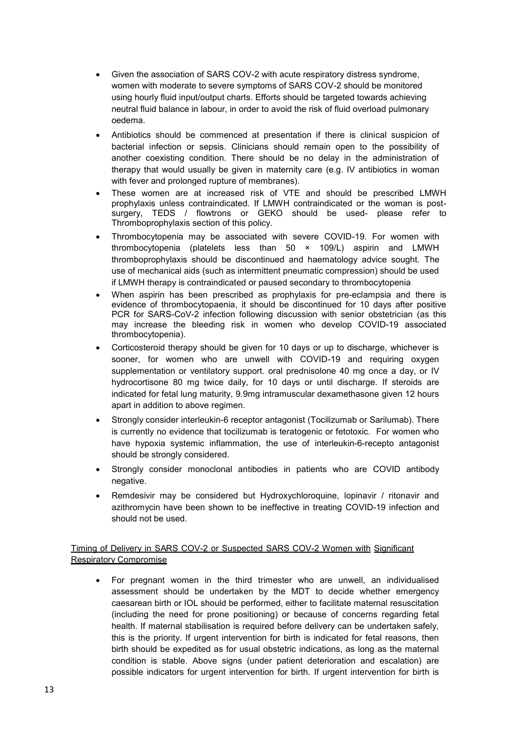- Given the association of SARS COV-2 with acute respiratory distress syndrome, women with moderate to severe symptoms of SARS COV-2 should be monitored using hourly fluid input/output charts. Efforts should be targeted towards achieving neutral fluid balance in labour, in order to avoid the risk of fluid overload pulmonary oedema.
- Antibiotics should be commenced at presentation if there is clinical suspicion of bacterial infection or sepsis. Clinicians should remain open to the possibility of another coexisting condition. There should be no delay in the administration of therapy that would usually be given in maternity care (e.g. IV antibiotics in woman with fever and prolonged rupture of membranes).
- These women are at increased risk of VTE and should be prescribed LMWH prophylaxis unless contraindicated. If LMWH contraindicated or the woman is postsurgery, TEDS / flowtrons or GEKO should be used- please refer to Thromboprophylaxis section of this policy.
- Thrombocytopenia may be associated with severe COVID-19. For women with thrombocytopenia (platelets less than 50 × 109/L) aspirin and LMWH thromboprophylaxis should be discontinued and haematology advice sought. The use of mechanical aids (such as intermittent pneumatic compression) should be used if LMWH therapy is contraindicated or paused secondary to thrombocytopenia
- When aspirin has been prescribed as prophylaxis for pre-eclampsia and there is evidence of thrombocytopaenia, it should be discontinued for 10 days after positive PCR for SARS-CoV-2 infection following discussion with senior obstetrician (as this may increase the bleeding risk in women who develop COVID-19 associated thrombocytopenia).
- Corticosteroid therapy should be given for 10 days or up to discharge, whichever is sooner, for women who are unwell with COVID-19 and requiring oxygen supplementation or ventilatory support. oral prednisolone 40 mg once a day, or IV hydrocortisone 80 mg twice daily, for 10 days or until discharge. If steroids are indicated for fetal lung maturity, 9.9mg intramuscular dexamethasone given 12 hours apart in addition to above regimen.
- Strongly consider interleukin-6 receptor antagonist (Tocilizumab or Sarilumab). There is currently no evidence that tocilizumab is teratogenic or fetotoxic. For women who have hypoxia systemic inflammation, the use of interleukin-6-recepto antagonist should be strongly considered.
- Strongly consider monoclonal antibodies in patients who are COVID antibody negative.
- Remdesivir may be considered but Hydroxychloroquine, lopinavir / ritonavir and azithromycin have been shown to be ineffective in treating COVID-19 infection and should not be used.

Timing of Delivery in SARS COV-2 or Suspected SARS COV-2 Women with Significant Respiratory Compromise

 For pregnant women in the third trimester who are unwell, an individualised assessment should be undertaken by the MDT to decide whether emergency caesarean birth or IOL should be performed, either to facilitate maternal resuscitation (including the need for prone positioning) or because of concerns regarding fetal health. If maternal stabilisation is required before delivery can be undertaken safely, this is the priority. If urgent intervention for birth is indicated for fetal reasons, then birth should be expedited as for usual obstetric indications, as long as the maternal condition is stable. Above signs (under patient deterioration and escalation) are possible indicators for urgent intervention for birth. If urgent intervention for birth is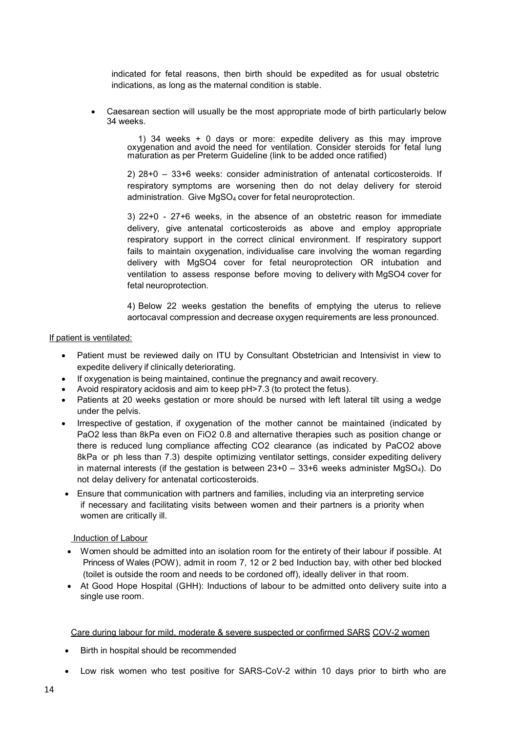indicated for fetal reasons, then birth should be expedited as for usual obstetric indications, as long as the maternal condition is stable.

 Caesarean section will usually be the most appropriate mode of birth particularly below 34 weeks.

> 1) 34 weeks + 0 days or more: expedite delivery as this may improve oxygenation and avoid the need for ventilation. Consider steroids for fetal lung maturation as per Preterm Guideline (link to be added once ratified)

> 2) 28+0 – 33+6 weeks: consider administration of antenatal corticosteroids. If respiratory symptoms are worsening then do not delay delivery for steroid administration. Give MgSO4 cover for fetal neuroprotection.

> 3) 22+0 - 27+6 weeks, in the absence of an obstetric reason for immediate delivery, give antenatal corticosteroids as above and employ appropriate respiratory support in the correct clinical environment. If respiratory support fails to maintain oxygenation, individualise care involving the woman regarding delivery with MgSO4 cover for fetal neuroprotection OR intubation and ventilation to assess response before moving to delivery with MgSO4 cover for fetal neuroprotection.

> 4) Below 22 weeks gestation the benefits of emptying the uterus to relieve aortocaval compression and decrease oxygen requirements are less pronounced.

#### If patient is ventilated:

- Patient must be reviewed daily on ITU by Consultant Obstetrician and Intensivist in view to expedite delivery if clinically deteriorating.
- If oxygenation is being maintained, continue the pregnancy and await recovery.
- Avoid respiratory acidosis and aim to keep pH>7.3 (to protect the fetus).
- Patients at 20 weeks gestation or more should be nursed with left lateral tilt using a wedge under the pelvis.
- Irrespective of gestation, if oxygenation of the mother cannot be maintained (indicated by PaO2 less than 8kPa even on FiO2 0.8 and alternative therapies such as position change or there is reduced lung compliance affecting CO2 clearance (as indicated by PaCO2 above 8kPa or ph less than 7.3) despite optimizing ventilator settings, consider expediting delivery in maternal interests (if the gestation is between  $23+0 - 33+6$  weeks administer MgSO<sub>4</sub>). Do not delay delivery for antenatal corticosteroids.
- Ensure that communication with partners and families, including via an interpreting service if necessary and facilitating visits between women and their partners is a priority when women are critically ill.

#### Induction of Labour

- Women should be admitted into an isolation room for the entirety of their labour if possible. At Princess of Wales (POW), admit in room 7, 12 or 2 bed Induction bay, with other bed blocked (toilet is outside the room and needs to be cordoned off), ideally deliver in that room.
- At Good Hope Hospital (GHH): Inductions of labour to be admitted onto delivery suite into a single use room.

#### Care during labour for mild, moderate & severe suspected or confirmed SARS COV-2 women

- Birth in hospital should be recommended
- Low risk women who test positive for SARS-CoV-2 within 10 days prior to birth who are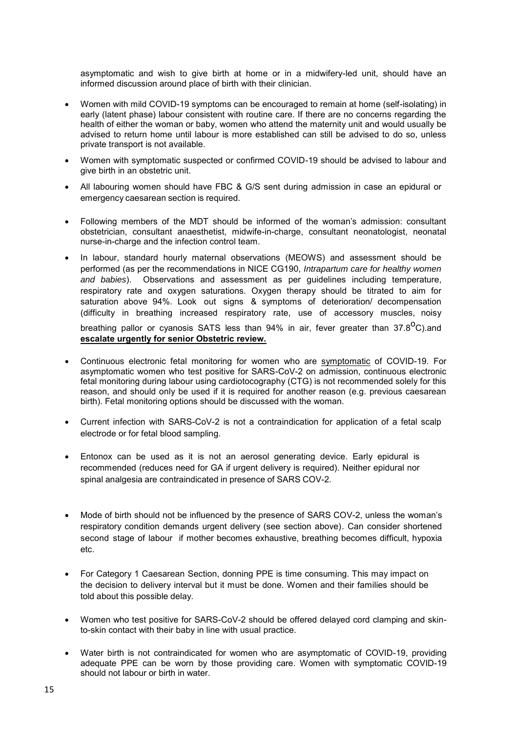asymptomatic and wish to give birth at home or in a midwifery-led unit, should have an informed discussion around place of birth with their clinician.

- Women with mild COVID-19 symptoms can be encouraged to remain at home (self-isolating) in early (latent phase) labour consistent with routine care. If there are no concerns regarding the health of either the woman or baby, women who attend the maternity unit and would usually be advised to return home until labour is more established can still be advised to do so, unless private transport is not available.
- Women with symptomatic suspected or confirmed COVID-19 should be advised to labour and give birth in an obstetric unit.
- All labouring women should have FBC & G/S sent during admission in case an epidural or emergency caesarean section is required.
- Following members of the MDT should be informed of the woman's admission: consultant obstetrician, consultant anaesthetist, midwife-in-charge, consultant neonatologist, neonatal nurse-in-charge and the infection control team.
- In labour, standard hourly maternal observations (MEOWS) and assessment should be performed (as per the recommendations in NICE CG190, *Intrapartum care for healthy women and babies*). Observations and assessment as per guidelines including temperature, respiratory rate and oxygen saturations. Oxygen therapy should be titrated to aim for saturation above 94%. Look out signs & symptoms of deterioration/ decompensation (difficulty in breathing increased respiratory rate, use of accessory muscles, noisy

breathing pallor or cyanosis SATS less than 94% in air, fever greater than  $37.8^{\circ}$ C).and **escalate urgently for senior Obstetric review.**

- Continuous electronic fetal monitoring for women who are symptomatic of COVID-19. For asymptomatic women who test positive for SARS-CoV-2 on admission, continuous electronic fetal monitoring during labour using cardiotocography (CTG) is not recommended solely for this reason, and should only be used if it is required for another reason (e.g. previous caesarean birth). Fetal monitoring options should be discussed with the woman.
- Current infection with SARS-CoV-2 is not a contraindication for application of a fetal scalp electrode or for fetal blood sampling.
- Entonox can be used as it is not an aerosol generating device. Early epidural is recommended (reduces need for GA if urgent delivery is required). Neither epidural nor spinal analgesia are contraindicated in presence of SARS COV-2.
- Mode of birth should not be influenced by the presence of SARS COV-2, unless the woman's respiratory condition demands urgent delivery (see section above). Can consider shortened second stage of labour if mother becomes exhaustive, breathing becomes difficult, hypoxia etc.
- For Category 1 Caesarean Section, donning PPE is time consuming. This may impact on the decision to delivery interval but it must be done. Women and their families should be told about this possible delay.
- Women who test positive for SARS-CoV-2 should be offered delayed cord clamping and skinto-skin contact with their baby in line with usual practice.
- Water birth is not contraindicated for women who are asymptomatic of COVID-19, providing adequate PPE can be worn by those providing care. Women with symptomatic COVID-19 should not labour or birth in water.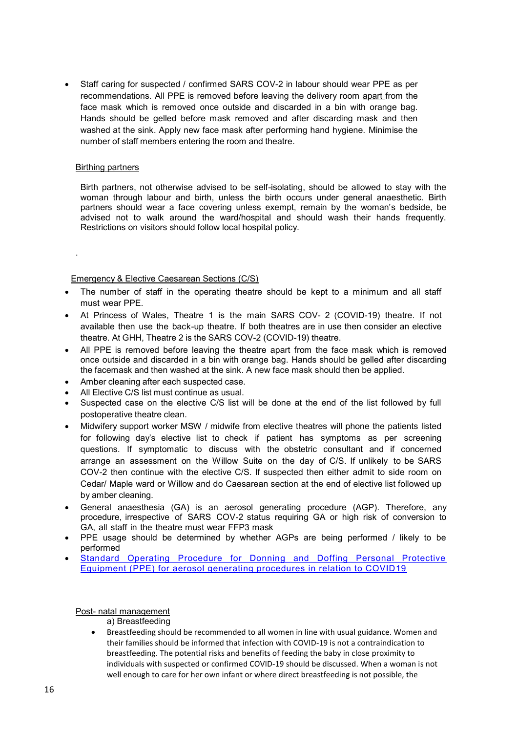Staff caring for suspected / confirmed SARS COV-2 in labour should wear PPE as per recommendations. All PPE is removed before leaving the delivery room apart from the face mask which is removed once outside and discarded in a bin with orange bag. Hands should be gelled before mask removed and after discarding mask and then washed at the sink. Apply new face mask after performing hand hygiene. Minimise the number of staff members entering the room and theatre.

#### **Birthing partners**

.

Birth partners, not otherwise advised to be self-isolating, should be allowed to stay with the woman through labour and birth, unless the birth occurs under general anaesthetic. Birth partners should wear a face covering unless exempt, remain by the woman's bedside, be advised not to walk around the ward/hospital and should wash their hands frequently. Restrictions on visitors should follow local hospital policy.

#### Emergency & Elective Caesarean Sections (C/S)

- The number of staff in the operating theatre should be kept to a minimum and all staff must wear PPE.
- At Princess of Wales, Theatre 1 is the main SARS COV- 2 (COVID-19) theatre. If not available then use the back-up theatre. If both theatres are in use then consider an elective theatre. At GHH, Theatre 2 is the SARS COV-2 (COVID-19) theatre.
- All PPE is removed before leaving the theatre apart from the face mask which is removed once outside and discarded in a bin with orange bag. Hands should be gelled after discarding the facemask and then washed at the sink. A new face mask should then be applied.
- Amber cleaning after each suspected case.
- All Elective C/S list must continue as usual.
- Suspected case on the elective C/S list will be done at the end of the list followed by full postoperative theatre clean.
- Midwifery support worker MSW / midwife from elective theatres will phone the patients listed for following day's elective list to check if patient has symptoms as per screening questions. If symptomatic to discuss with the obstetric consultant and if concerned arrange an assessment on the Willow Suite on the day of C/S. If unlikely to be SARS COV-2 then continue with the elective C/S. If suspected then either admit to side room on Cedar/ Maple ward or Willow and do Caesarean section at the end of elective list followed up by amber cleaning.
- General anaesthesia (GA) is an aerosol generating procedure (AGP). Therefore, any procedure, irrespective of SARS COV-2 status requiring GA or high risk of conversion to GA, all staff in the theatre must wear FFP3 mask
- PPE usage should be determined by whether AGPs are being performed / likely to be performed
- [Standard Operating Procedure for Donning and Doffing Personal Protective](http://sharepoint/policies/Guidelines/SOP%20for%20Donning%20and%20Doffing%20Personal%20Protective%20Equipment%20(PPE)%20for%20aerosol%20generating%20procedures%20in%20relation%20to%20COVID19.pdf)  [Equipment \(PPE\) for aerosol generating procedures in relation to COVID19](http://sharepoint/policies/Guidelines/SOP%20for%20Donning%20and%20Doffing%20Personal%20Protective%20Equipment%20(PPE)%20for%20aerosol%20generating%20procedures%20in%20relation%20to%20COVID19.pdf)

#### Post- natal management

#### a) Breastfeeding

 Breastfeeding should be recommended to all women in line with usual guidance. Women and their families should be informed that infection with COVID-19 is not a contraindication to breastfeeding. The potential risks and benefits of feeding the baby in close proximity to individuals with suspected or confirmed COVID-19 should be discussed. When a woman is not well enough to care for her own infant or where direct breastfeeding is not possible, the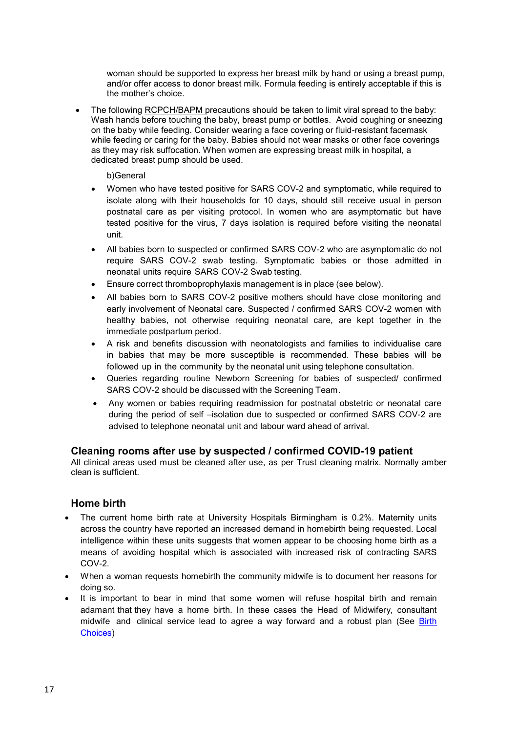woman should be supported to express her breast milk by hand or using a breast pump, and/or offer access to donor breast milk. Formula feeding is entirely acceptable if this is the mother's choice.

 The following RCPCH/BAPM precautions should be taken to limit viral spread to the baby: Wash hands before touching the baby, breast pump or bottles. Avoid coughing or sneezing on the baby while feeding. Consider wearing a face covering or fluid-resistant facemask while feeding or caring for the baby. Babies should not wear masks or other face coverings as they may risk suffocation. When women are expressing breast milk in hospital, a dedicated breast pump should be used.

b)General

- Women who have tested positive for SARS COV-2 and symptomatic, while required to isolate along with their households for 10 days, should still receive usual in person postnatal care as per visiting protocol. In women who are asymptomatic but have tested positive for the virus, 7 days isolation is required before visiting the neonatal unit.
- All babies born to suspected or confirmed SARS COV-2 who are asymptomatic do not require SARS COV-2 swab testing. Symptomatic babies or those admitted in neonatal units require SARS COV-2 Swab testing.
- Ensure correct thromboprophylaxis management is in place (see below).
- All babies born to SARS COV-2 positive mothers should have close monitoring and early involvement of Neonatal care. Suspected / confirmed SARS COV-2 women with healthy babies, not otherwise requiring neonatal care, are kept together in the immediate postpartum period.
- A risk and benefits discussion with neonatologists and families to individualise care in babies that may be more susceptible is recommended. These babies will be followed up in the community by the neonatal unit using telephone consultation.
- Queries regarding routine Newborn Screening for babies of suspected/ confirmed SARS COV-2 should be discussed with the Screening Team.
- Any women or babies requiring readmission for postnatal obstetric or neonatal care during the period of self –isolation due to suspected or confirmed SARS COV-2 are advised to telephone neonatal unit and labour ward ahead of arrival.

# **Cleaning rooms after use by suspected / confirmed COVID-19 patient**

All clinical areas used must be cleaned after use, as per Trust cleaning matrix. Normally amber clean is sufficient.

# **Home birth**

- The current home birth rate at University Hospitals Birmingham is 0.2%. Maternity units across the country have reported an increased demand in homebirth being requested. Local intelligence within these units suggests that women appear to be choosing home birth as a means of avoiding hospital which is associated with increased risk of contracting SARS COV-2.
- When a woman requests homebirth the community midwife is to document her reasons for doing so.
- It is important to bear in mind that some women will refuse hospital birth and remain adamant that they have a home birth. In these cases the Head of Midwifery, consultant midwife and clinical service lead to agree a way forward and a robust plan (See [Birth](http://sharepoint/policies/Guidelines/Birth%20Choices.pdf)  [Choices\)](http://sharepoint/policies/Guidelines/Birth%20Choices.pdf)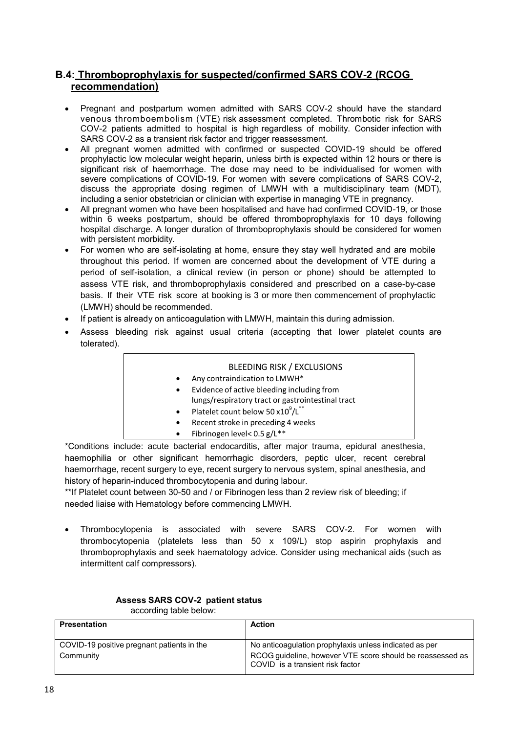# **B.4: Thromboprophylaxis for suspected/confirmed SARS COV-2 (RCOG recommendation)**

- Pregnant and postpartum women admitted with SARS COV-2 should have the standard venous thromboembolism (VTE) risk assessment completed. Thrombotic risk for SARS COV-2 patients admitted to hospital is high regardless of mobility. Consider infection with SARS COV-2 as a transient risk factor and trigger reassessment.
- All pregnant women admitted with confirmed or suspected COVID-19 should be offered prophylactic low molecular weight heparin, unless birth is expected within 12 hours or there is significant risk of haemorrhage. The dose may need to be individualised for women with severe complications of COVID-19. For women with severe complications of SARS COV-2, discuss the appropriate dosing regimen of LMWH with a multidisciplinary team (MDT), including a senior obstetrician or clinician with expertise in managing VTE in pregnancy.
- All pregnant women who have been hospitalised and have had confirmed COVID-19, or those within 6 weeks postpartum, should be offered thromboprophylaxis for 10 days following hospital discharge. A longer duration of thromboprophylaxis should be considered for women with persistent morbidity.
- For women who are self-isolating at home, ensure they stay well hydrated and are mobile throughout this period. If women are concerned about the development of VTE during a period of self-isolation, a clinical review (in person or phone) should be attempted to assess VTE risk, and thromboprophylaxis considered and prescribed on a case-by-case basis. If their VTE risk score at booking is 3 or more then commencement of prophylactic (LMWH) should be recommended.
- If patient is already on anticoagulation with LMWH, maintain this during admission.
- Assess bleeding risk against usual criteria (accepting that lower platelet counts are tolerated).

|           | <b>BLEEDING RISK / EXCLUSIONS</b>                         |
|-----------|-----------------------------------------------------------|
| $\bullet$ | Any contraindication to LMWH*                             |
| $\bullet$ | Evidence of active bleeding including from                |
|           | lungs/respiratory tract or gastrointestinal tract         |
| $\bullet$ | Platelet count below 50 x10 <sup>9</sup> /L <sup>**</sup> |
| $\bullet$ | Recent stroke in preceding 4 weeks                        |
| $\bullet$ | Fibrinogen level< 0.5 g/L**                               |

\*Conditions include: acute bacterial endocarditis, after major trauma, epidural anesthesia, haemophilia or other significant hemorrhagic disorders, peptic ulcer, recent cerebral haemorrhage, recent surgery to eye, recent surgery to nervous system, spinal anesthesia, and history of heparin-induced thrombocytopenia and during labour.

\*\*If Platelet count between 30-50 and / or Fibrinogen less than 2 review risk of bleeding; if needed liaise with Hematology before commencing LMWH.

 Thrombocytopenia is associated with severe SARS COV-2. For women with thrombocytopenia (platelets less than 50 x 109/L) stop aspirin prophylaxis and thromboprophylaxis and seek haematology advice. Consider using mechanical aids (such as intermittent calf compressors).

| according table perow.                     |                                                                                               |
|--------------------------------------------|-----------------------------------------------------------------------------------------------|
| <b>Presentation</b>                        | <b>Action</b>                                                                                 |
|                                            |                                                                                               |
| COVID-19 positive pregnant patients in the | No anticoagulation prophylaxis unless indicated as per                                        |
| Community                                  | RCOG guideline, however VTE score should be reassessed as<br>COVID is a transient risk factor |

#### **Assess SARS COV-2 patient status**  according table below: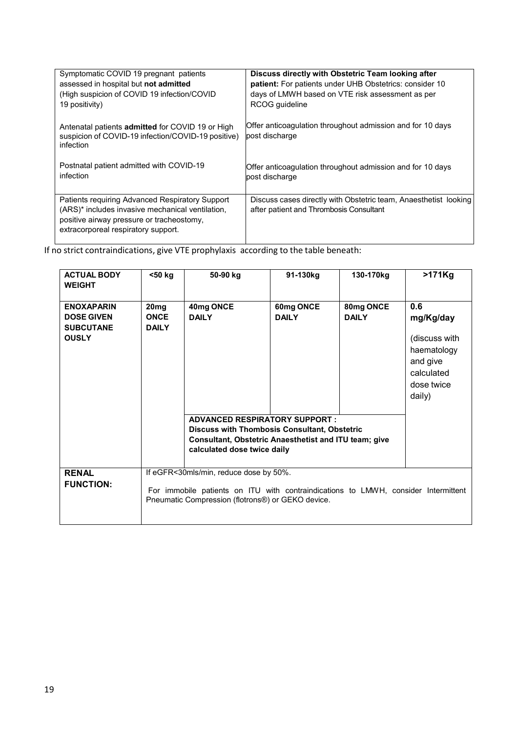| Symptomatic COVID 19 pregnant patients                                                                                                                                                  | Discuss directly with Obstetric Team looking after                                                          |
|-----------------------------------------------------------------------------------------------------------------------------------------------------------------------------------------|-------------------------------------------------------------------------------------------------------------|
| assessed in hospital but not admitted                                                                                                                                                   | patient: For patients under UHB Obstetrics: consider 10                                                     |
| (High suspicion of COVID 19 infection/COVID                                                                                                                                             | days of LMWH based on VTE risk assessment as per                                                            |
| 19 positivity)                                                                                                                                                                          | RCOG quideline                                                                                              |
| Antenatal patients <b>admitted</b> for COVID 19 or High<br>suspicion of COVID-19 infection/COVID-19 positive)<br>infection                                                              | Offer anticoagulation throughout admission and for 10 days<br>post discharge                                |
| Postnatal patient admitted with COVID-19                                                                                                                                                | Offer anticoagulation throughout admission and for 10 days                                                  |
| infection                                                                                                                                                                               | post discharge                                                                                              |
| Patients requiring Advanced Respiratory Support<br>(ARS)* includes invasive mechanical ventilation,<br>positive airway pressure or tracheostomy,<br>extracorporeal respiratory support. | Discuss cases directly with Obstetric team, Anaesthetist looking<br>after patient and Thrombosis Consultant |

If no strict contraindications, give VTE prophylaxis according to the table beneath:

| <b>ACTUAL BODY</b><br><b>WEIGHT</b>                                        | <50 kg                                          | 50-90 kg                                                                                                                                                                                   | 91-130kg                  | 130-170kg                 | $>171$ Kg                                                                                          |
|----------------------------------------------------------------------------|-------------------------------------------------|--------------------------------------------------------------------------------------------------------------------------------------------------------------------------------------------|---------------------------|---------------------------|----------------------------------------------------------------------------------------------------|
| <b>ENOXAPARIN</b><br><b>DOSE GIVEN</b><br><b>SUBCUTANE</b><br><b>OUSLY</b> | 20 <sub>mg</sub><br><b>ONCE</b><br><b>DAILY</b> | 40mg ONCE<br><b>DAILY</b>                                                                                                                                                                  | 60mg ONCE<br><b>DAILY</b> | 80mg ONCE<br><b>DAILY</b> | 0.6<br>mg/Kg/day<br>(discuss with<br>haematology<br>and give<br>calculated<br>dose twice<br>daily) |
|                                                                            |                                                 | <b>ADVANCED RESPIRATORY SUPPORT:</b><br><b>Discuss with Thombosis Consultant, Obstetric</b><br><b>Consultant, Obstetric Anaesthetist and ITU team; give</b><br>calculated dose twice daily |                           |                           |                                                                                                    |
| <b>RENAL</b><br><b>FUNCTION:</b>                                           |                                                 | If eGFR<30mls/min, reduce dose by 50%.<br>For immobile patients on ITU with contraindications to LMWH, consider Intermittent<br>Pneumatic Compression (flotrons®) or GEKO device.          |                           |                           |                                                                                                    |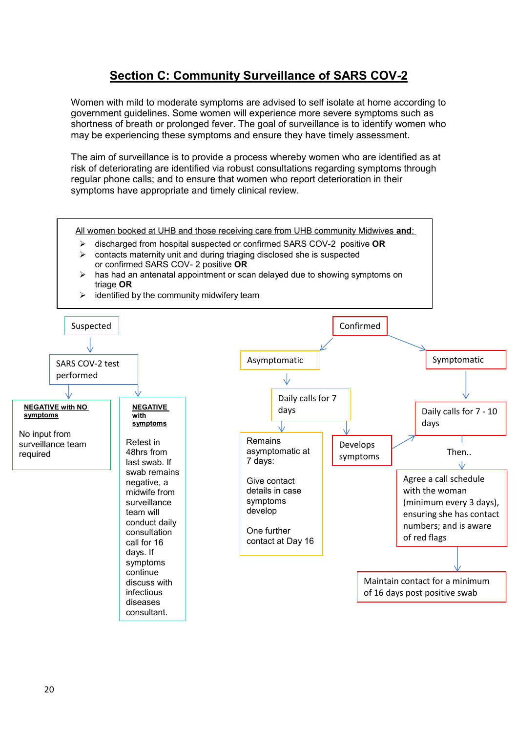# **Section C: Community Surveillance of SARS COV-2**

Women with mild to moderate symptoms are advised to self isolate at home according to government guidelines. Some women will experience more severe symptoms such as shortness of breath or prolonged fever. The goal of surveillance is to identify women who may be experiencing these symptoms and ensure they have timely assessment.

The aim of surveillance is to provide a process whereby women who are identified as at risk of deteriorating are identified via robust consultations regarding symptoms through regular phone calls; and to ensure that women who report deterioration in their symptoms have appropriate and timely clinical review.

All women booked at UHB and those receiving care from UHB community Midwives **and**:

- discharged from hospital suspected or confirmed SARS COV-2 positive **OR**
- $\triangleright$  contacts maternity unit and during triaging disclosed she is suspected or confirmed SARS COV- 2 positive **OR**
- $\triangleright$  has had an antenatal appointment or scan delayed due to showing symptoms on triage **OR**



 $\triangleright$  identified by the community midwifery team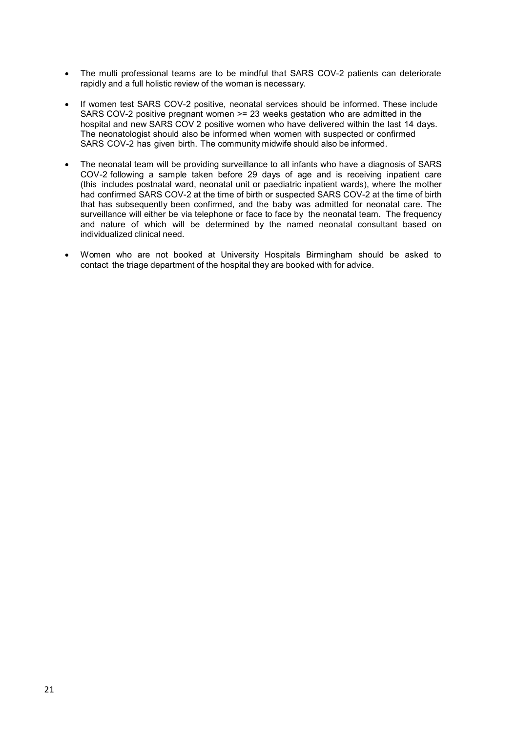- The multi professional teams are to be mindful that SARS COV-2 patients can deteriorate rapidly and a full holistic review of the woman is necessary.
- If women test SARS COV-2 positive, neonatal services should be informed. These include SARS COV-2 positive pregnant women >= 23 weeks gestation who are admitted in the hospital and new SARS COV 2 positive women who have delivered within the last 14 days. The neonatologist should also be informed when women with suspected or confirmed SARS COV-2 has given birth. The community midwife should also be informed.
- The neonatal team will be providing surveillance to all infants who have a diagnosis of SARS COV-2 following a sample taken before 29 days of age and is receiving inpatient care (this includes postnatal ward, neonatal unit or paediatric inpatient wards), where the mother had confirmed SARS COV-2 at the time of birth or suspected SARS COV-2 at the time of birth that has subsequently been confirmed, and the baby was admitted for neonatal care. The surveillance will either be via telephone or face to face by the neonatal team. The frequency and nature of which will be determined by the named neonatal consultant based on individualized clinical need.
- Women who are not booked at University Hospitals Birmingham should be asked to contact the triage department of the hospital they are booked with for advice.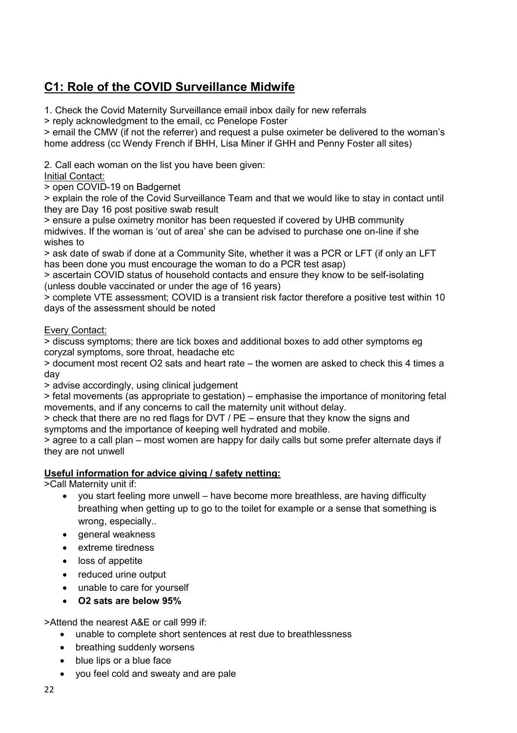# **C1: Role of the COVID Surveillance Midwife**

1. Check the Covid Maternity Surveillance email inbox daily for new referrals

> reply acknowledgment to the email, cc Penelope Foster

> email the CMW (if not the referrer) and request a pulse oximeter be delivered to the woman's home address (cc Wendy French if BHH, Lisa Miner if GHH and Penny Foster all sites)

2. Call each woman on the list you have been given:

# Initial Contact:

> open COVID-19 on Badgernet

> explain the role of the Covid Surveillance Team and that we would like to stay in contact until they are Day 16 post positive swab result

> ensure a pulse oximetry monitor has been requested if covered by UHB community midwives. If the woman is 'out of area' she can be advised to purchase one on-line if she wishes to

> ask date of swab if done at a Community Site, whether it was a PCR or LFT (if only an LFT has been done you must encourage the woman to do a PCR test asap)

> ascertain COVID status of household contacts and ensure they know to be self-isolating (unless double vaccinated or under the age of 16 years)

> complete VTE assessment; COVID is a transient risk factor therefore a positive test within 10 days of the assessment should be noted

## Every Contact:

> discuss symptoms; there are tick boxes and additional boxes to add other symptoms eg coryzal symptoms, sore throat, headache etc

> document most recent O2 sats and heart rate – the women are asked to check this 4 times a day

> advise accordingly, using clinical judgement

> fetal movements (as appropriate to gestation) – emphasise the importance of monitoring fetal movements, and if any concerns to call the maternity unit without delay.

> check that there are no red flags for DVT / PE – ensure that they know the signs and symptoms and the importance of keeping well hydrated and mobile.

> agree to a call plan – most women are happy for daily calls but some prefer alternate days if they are not unwell

# **Useful information for advice giving / safety netting:**

>Call Maternity unit if:

- you start feeling more unwell have become more breathless, are having difficulty breathing when getting up to go to the toilet for example or a sense that something is wrong, especially..
- general weakness
- extreme tiredness
- loss of appetite
- reduced urine output
- unable to care for yourself
- **O2 sats are below 95%**

>Attend the nearest A&E or call 999 if:

- unable to complete short sentences at rest due to breathlessness
- breathing suddenly worsens
- blue lips or a blue face
- you feel cold and sweaty and are pale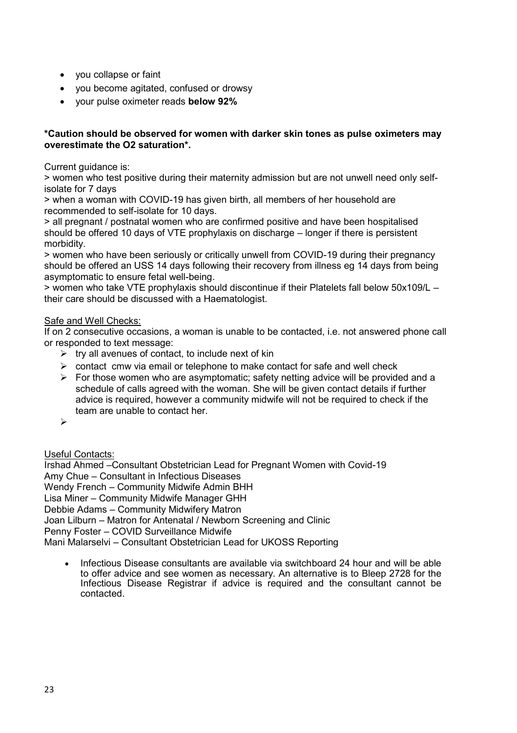- you collapse or faint
- you become agitated, confused or drowsy
- your pulse oximeter reads **below 92%**

## **\*Caution should be observed for women with darker skin tones as pulse oximeters may overestimate the O2 saturation\*.**

Current guidance is:

> women who test positive during their maternity admission but are not unwell need only selfisolate for 7 days

> when a woman with COVID-19 has given birth, all members of her household are recommended to self-isolate for 10 days.

> all pregnant / postnatal women who are confirmed positive and have been hospitalised should be offered 10 days of VTE prophylaxis on discharge – longer if there is persistent morbidity.

> women who have been seriously or critically unwell from COVID-19 during their pregnancy should be offered an USS 14 days following their recovery from illness eg 14 days from being asymptomatic to ensure fetal well-being.

> women who take VTE prophylaxis should discontinue if their Platelets fall below 50x109/L – their care should be discussed with a Haematologist.

## Safe and Well Checks:

If on 2 consecutive occasions, a woman is unable to be contacted, i.e. not answered phone call or responded to text message:

- $\triangleright$  try all avenues of contact, to include next of kin
- $\triangleright$  contact cmw via email or telephone to make contact for safe and well check
- $\triangleright$  For those women who are asymptomatic; safety netting advice will be provided and a schedule of calls agreed with the woman. She will be given contact details if further advice is required, however a community midwife will not be required to check if the team are unable to contact her.
- $\blacktriangleright$

# Useful Contacts:

Irshad Ahmed –Consultant Obstetrician Lead for Pregnant Women with Covid-19 Amy Chue – Consultant in Infectious Diseases Wendy French – Community Midwife Admin BHH Lisa Miner – Community Midwife Manager GHH Debbie Adams – Community Midwifery Matron Joan Lilburn – Matron for Antenatal / Newborn Screening and Clinic Penny Foster – COVID Surveillance Midwife Mani Malarselvi – Consultant Obstetrician Lead for UKOSS Reporting

• Infectious Disease consultants are available via switchboard 24 hour and will be able to offer advice and see women as necessary. An alternative is to Bleep 2728 for the Infectious Disease Registrar if advice is required and the consultant cannot be contacted.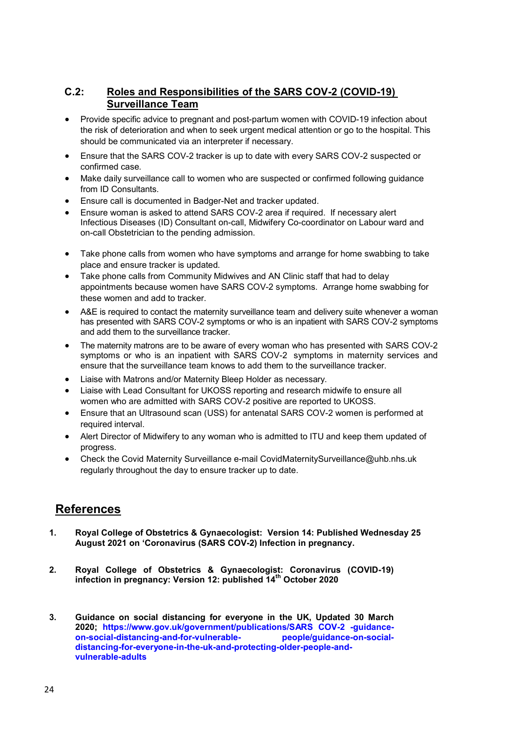# **C.2: Roles and Responsibilities of the SARS COV-2 (COVID-19) Surveillance Team**

- Provide specific advice to pregnant and post-partum women with COVID-19 infection about the risk of deterioration and when to seek urgent medical attention or go to the hospital. This should be communicated via an interpreter if necessary.
- Ensure that the SARS COV-2 tracker is up to date with every SARS COV-2 suspected or confirmed case.
- Make daily surveillance call to women who are suspected or confirmed following guidance from ID Consultants.
- Ensure call is documented in Badger-Net and tracker updated.
- Ensure woman is asked to attend SARS COV-2 area if required. If necessary alert Infectious Diseases (ID) Consultant on-call, Midwifery Co-coordinator on Labour ward and on-call Obstetrician to the pending admission.
- Take phone calls from women who have symptoms and arrange for home swabbing to take place and ensure tracker is updated.
- Take phone calls from Community Midwives and AN Clinic staff that had to delay appointments because women have SARS COV-2 symptoms. Arrange home swabbing for these women and add to tracker.
- A&E is required to contact the maternity surveillance team and delivery suite whenever a woman has presented with SARS COV-2 symptoms or who is an inpatient with SARS COV-2 symptoms and add them to the surveillance tracker.
- The maternity matrons are to be aware of every woman who has presented with SARS COV-2 symptoms or who is an inpatient with SARS COV-2 symptoms in maternity services and ensure that the surveillance team knows to add them to the surveillance tracker.
- Liaise with Matrons and/or Maternity Bleep Holder as necessary.
- Liaise with Lead Consultant for UKOSS reporting and research midwife to ensure all women who are admitted with SARS COV-2 positive are reported to UKOSS.
- Ensure that an Ultrasound scan (USS) for antenatal SARS COV-2 women is performed at required interval.
- Alert Director of Midwifery to any woman who is admitted to ITU and keep them updated of progress.
- Check the Covid Maternity Surveillance e-mail CovidMaternitySurveillance@uhb.nhs.uk regularly throughout the day to ensure tracker up to date.

# **References**

- **1. Royal College of Obstetrics & Gynaecologist: Version 14: Published Wednesday 25 August 2021 on 'Coronavirus (SARS COV-2) Infection in pregnancy.**
- **2. Royal College of Obstetrics & Gynaecologist: Coronavirus (COVID-19) infection in pregnancy: Version 12: published 14th October 2020**
- **3. Guidance on social distancing for everyone in the UK, Updated 30 March 2020; [https://www.gov.uk/government/publications/SARS COV-2 -guidance](https://www.gov.uk/government/publications/covid-19-guidance-on-social-distancing-and-for-vulnerable-people/guidance-on-social-distancing-for-everyone-in-the-uk-and-protecting-older-people-and-vulnerable-adults)[on-social-distancing-and-for-vulnerable-](https://www.gov.uk/government/publications/covid-19-guidance-on-social-distancing-and-for-vulnerable-people/guidance-on-social-distancing-for-everyone-in-the-uk-and-protecting-older-people-and-vulnerable-adults) [people/guidance-on-social](https://www.gov.uk/government/publications/covid-19-guidance-on-social-distancing-and-for-vulnerable-people/guidance-on-social-distancing-for-everyone-in-the-uk-and-protecting-older-people-and-vulnerable-adults)[distancing-for-everyone-in-the-uk-and-protecting-older-people-and](https://www.gov.uk/government/publications/covid-19-guidance-on-social-distancing-and-for-vulnerable-people/guidance-on-social-distancing-for-everyone-in-the-uk-and-protecting-older-people-and-vulnerable-adults)[vulnerable-adults](https://www.gov.uk/government/publications/covid-19-guidance-on-social-distancing-and-for-vulnerable-people/guidance-on-social-distancing-for-everyone-in-the-uk-and-protecting-older-people-and-vulnerable-adults)**